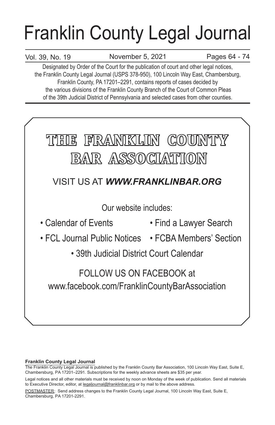# Franklin County Legal Journal

# Vol. 39, No. 19

November 5, 2021 Pages 64 - 74

Designated by Order of the Court for the publication of court and other legal notices, the Franklin County Legal Journal (USPS 378-950), 100 Lincoln Way East, Chambersburg, Franklin County, PA 17201–2291, contains reports of cases decided by the various divisions of the Franklin County Branch of the Court of Common Pleas of the 39th Judicial District of Pennsylvania and selected cases from other counties.



# **Franklin County Legal Journal**

The Franklin County Legal Journal is published by the Franklin County Bar Association, 100 Lincoln Way East, Suite E, Chambersburg, PA 17201–2291. Subscriptions for the weekly advance sheets are \$35 per year.

POSTMASTER: Send address changes to the Franklin County Legal Journal, 100 Lincoln Way East, Suite E, Chambersburg, PA 17201-2291.

Legal notices and all other materials must be received by noon on Monday of the week of publication. Send all materials to Executive Director, editor, at legaljournal@franklinbar.org or by mail to the above address.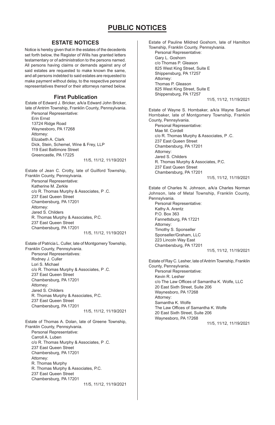### **ESTATE NOTICES**

Notice is hereby given that in the estates of the decedents set forth below, the Register of Wills has granted letters testamentary or of administration to the persons named. All persons having claims or demands against any of said estates are requested to make known the same, and all persons indebted to said estates are requested to make payment without delay, to the respective personal representatives thereof or their attorneys named below.

### **First Publication**

Estate of Edward J. Bricker, a/k/a Edward John Bricker, late of Antrim Township, Franklin County, Pennsylvania. Personal Representative:

Erin Ernst 13724 Ridge Road Waynesboro, PA 17268 Attorney: Elizabeth A. Clark Dick, Stein, Schemel, Wine & Frey, LLP 119 East Baltimore Street Greencastle, PA 17225

11/5, 11/12, 11/19/2021

Estate of Jean C. Crotty, late of Guilford Township, Franklin County, Pennsylvania. Personal Representative: Katherine M. Zerkle c/o R. Thomas Murphy & Associates, P .C. 237 East Queen Street Chambersburg, PA 17201 Attorney: Jared S. Childers R. Thomas Murphy & Associates, P.C. 237 East Queen Street Chambersburg, PA 17201 11/5, 11/12, 11/19/2021

Estate of Patricia L. Culler, late of Montgomery Township, Franklin County, Pennsylvania. Personal Representatives: Rodney J. Culler Lori S. Michael c/o R. Thomas Murphy & Associates, P .C. 237 East Queen Street Chambersburg, PA 17201 Attorney: Jared S. Childers R. Thomas Murphy & Associates, P.C. 237 East Queen Street Chambersburg, PA 17201 11/5, 11/12, 11/19/2021

Estate of Thomas A. Dolan, late of Greene Township, Franklin County, Pennsylvania. Personal Representative: Carroll A. Luben c/o R. Thomas Murphy & Associates, P .C. 237 East Queen Street Chambersburg, PA 17201 Attorney: R. Thomas Murphy R. Thomas Murphy & Associates, P.C. 237 East Queen Street Chambersburg, PA 17201 11/5, 11/12, 11/19/2021 Estate of Pauline Mildred Goshorn, late of Hamilton Township, Franklin County, Pennsylvania. Personal Representative: Gary L. Goshorn c/o Thomas P. Gleason 825 West King Street, Suite E Shippensburg, PA 17257 Attorney: Thomas P. Gleason 825 West King Street, Suite E Shippensburg, PA 17257 11/5, 11/12, 11/19/2021 Estate of Wayne S. Hornbaker, a/k/a Wayne Samuel Hornbaker, late of Montgomery Township, Franklin County, Pennsylvania. Personal Representative: Mae M. Cordell c/o R. Thomas Murphy & Associates, P .C.

237 East Queen Street Chambersburg, PA 17201 Attorney: Jared S. Childers R. Thomas Murphy & Associates, P.C. 237 East Queen Street Chambersburg, PA 17201

11/5, 11/12, 11/19/2021

Estate of Charles N. Johnson, a/k/a Charles Norman Johnson, late of Metal Township, Franklin County, Pennsylvania. Personal Representative: Kathy A. Arentz

P.O. Box 363 Fannettsburg, PA 17221 Attorney: Timothy S. Sponseller Sponseller/Graham, LLC 223 Lincoln Way East Chambersburg, PA 17201 11/5, 11/12, 11/19/2021

Estate of Ray C. Lesher, late of Antrim Township, Franklin County, Pennsylvania. Personal Representative: Kevin R. Lesher c/o The Law Offices of Samantha K. Wolfe, LLC 20 East Sixth Street, Suite 206 Waynesboro, PA 17268 Attorney: Samantha K. Wolfe The Law Offices of Samantha K. Wolfe 20 East Sixth Street, Suite 206 Waynesboro, PA 17268 11/5, 11/12, 11/19/2021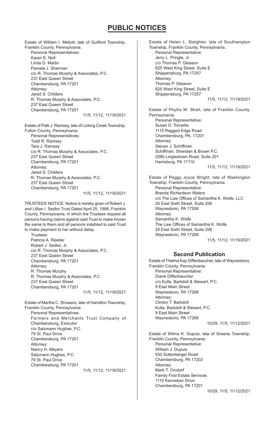Estate of William I. Mellott, late of Guilford Township, Franklin County, Pennsylvania. Personal Representatives: Karen E. Noll Linda D. Martin Pamela J. Sherman c/o R. Thomas Murphy & Associates, P.C. 237 East Queen Street Chambersburg, PA 17201 Attorney: Jared S. Childers R. Thomas Murphy & Associates, P.C. 237 East Queen Street Chambersburg, PA 17201 11/5, 11/12, 11/19/2021

Estate of Patti J. Ramsey, late of Licking Creek Township, Fulton County, Pennsylvania. Personal Representatives: Todd R. Ramsey Tara J. Ramsey c/o R. Thomas Murphy & Associates, P.C. 237 East Queen Street Chambersburg, PA 17201 Attorney: Jared S. Childers R. Thomas Murphy & Associates, P.C. 237 East Queen Street Chambersburg, PA 17201 11/5, 11/12, 11/19/2021

TRUSTEES' NOTICE: Notice is hereby given of Robert J. and Lillian I. Sedlor Trust Dated April 25, 1996, Franklin County, Pennsylvania, in which the Trustees request all persons having claims against said Trust to make known the same to them and all persons indebted to said Trust to make payment to her without delay.

Trustees: Patricia A. Reeder Robert J. Sedlor, Jr. c/o R. Thomas Murphy & Associates, P.C. 237 East Queen Street Chambersburg, PA 17201 Attorney: R. Thomas Murphy R. Thomas Murphy & Associates, P.C. 237 East Queen Street Chambersburg, PA 17201

11/5, 11/12, 11/19/2021

Estate of Martha C. Showers, late of Hamilton Township, Franklin County, Pennsylvania. Personal Representatives: Farmers and Merchants Trust Company of Chambersburg, Executor c/o Salzmann Hughes, P.C. 79 St. Paul Drive Chambersburg, PA 17201 Attorney: Nancy H. Meyers Salzmann Hughes, P.C. 79 St. Paul Drive Chambersburg, PA 17201 11/5, 11/12, 11/19/2021

Estate of Helen L. Sleighter, late of Southampton Township, Franklin County, Pennsylvania. Personal Representative: Jerry L. Pringle, Jr. c/o Thomas P. Gleason 825 West King Street, Suite E Shippensburg, PA 17257 Attorney: Thomas P. Gleason 825 West King Street, Suite E Shippensburg, PA 17257 11/5, 11/12, 11/19/2021 Estate of Phyllis M. Strait, late of Franklin County, Pennsylvania. Personal Representative: Susan D. Tornetta 1115 Ragged Edge Road Chambersburg, PA, 17201 Attorney: Steven J. Schiffman Schiffman, Sheridan & Brown P.C. 2080 Linglestown Road, Suite 201 Harrisburg, PA 17110 11/5, 11/12, 11/19/2021 Estate of Peggy Joyce Wright, late of Washington Township, Franklin County, Pennsylvania. Personal Representative: Brenda Richardson Waters c/o The Law Offices of Samantha K. Wolfe, LLC

20 East Sixth Street, Suite 206 Waynesboro, PA 17268 Attorney: Samantha K. Wolfe The Law Offices of Samantha K. Wolfe 20 East Sixth Street, Suite 206 Waynesboro, PA 17268 11/5, 11/12, 11/19/2021

### **Second Publication**

Estate of Thelma Kay Diffenbaucher, late of Waynesboro, Franklin County, Pennsylvania. Personal Representative: Diane Diffenbaucher c/o Kulla, Barkdoll & Stewart, P.C. 9 East Main Street Waynesboro, PA 17268 Attorney: Clinton T. Barkdoll Kulla, Barkdoll & Stewart, P.C. 9 East Main Street Waynesboro, PA 17268 10/29, 11/5, 11/12/2021

Estate of Wilma K. Dupuis, late of Greene Township, Franklin County, Pennsylvania. Personal Representative: William J. Dupuis 930 Sollenberger Road Chambersburg, PA 17202 Attorney: Mark T. Orndorf Family First Estate Services 1110 Kennebec Drive Chambersburg, PA 17201

10/29, 11/5, 11/12/2021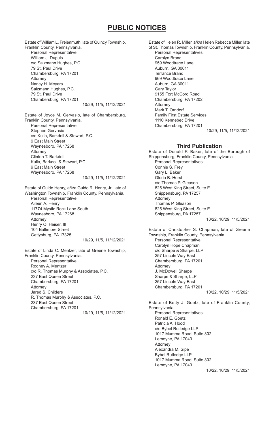Estate of William L. Freienmuth, late of Quincy Township, Franklin County, Pennsylvania. Personal Representative: William J. Dupuis c/o Salzmann Hughes, P.C. 79 St. Paul Drive Chambersburg, PA 17201 Attorney: Nancy H. Meyers Salzmann Hughes, P.C. 79 St. Paul Drive Chambersburg, PA 17201 10/29, 11/5, 11/12/2021 Estate of Joyce M. Gervasio, late of Chambersburg, Franklin County, Pennsylvania. Personal Representative: Stephen Gervasio c/o Kulla, Barkdoll & Stewart, P.C. 9 East Main Street Waynesboro, PA 17268 Attorney: Clinton T. Barkdoll

Kulla, Barkdoll & Stewart, P.C. 9 East Main Street Waynesboro, PA 17268 10/29, 11/5, 11/12/2021

### Estate of Guido Henry, a/k/a Guido R. Henry, Jr., late of Washington Township, Franklin County, Pennsylvania. Personal Representative: Aileen A. Henry 11774 Mystic Rock Lane South Waynesboro, PA 17268 Attorney: Henry O. Heiser, Ill 104 Baltimore Street Gettysburg, PA 17325

10/29, 11/5, 11/12/2021

Estate of Linda C. Mentzer, late of Greene Township, Franklin County, Pennsylvania. Personal Representative: Rodney A. Mentzer c/o R. Thomas Murphy & Associates, P.C. 237 East Queen Street Chambersburg, PA 17201 Attorney: Jared S. Childers R. Thomas Murphy & Associates, P.C. 237 East Queen Street Chambersburg, PA 17201 10/29, 11/5, 11/12/2021 Estate of Helen R. Miller, a/k/a Helen Rebecca Miller, late of St. Thomas Township, Franklin County, Pennsylvania. Personal Representatives: Carolyn Brand 959 Woodtrace Lane Auburn, GA 30011 Terrance Brand 969 Woodtrace Lane Auburn, GA 30011 Gary Taylor 9155 Fort McCord Road Chambersburg, PA 17202 Attorney: Mark T. Orndorf Family First Estate Services 1110 Kennebec Drive Chambersburg, PA 17201

10/29, 11/5, 11/12/2021

### **Third Publication**

Estate of Donald P. Baker, late of the Borough of Shippensburg, Franklin County, Pennsylvania. Personal Representatives: Connie S. Frey Gary L. Baker Gloria B. Horst c/o Thomas P. Gleason 825 West King Street, Suite E Shippensburg, PA 17257 Attorney: Thomas P. Gleason 825 West King Street, Suite E Shippensburg, PA 17257 10/22, 10/29, 11/5/2021

Estate of Christopher S. Chapman, late of Greene Township, Franklin County, Pennsylvania. Personal Representative: Carolyn Hope Chapman c/o Sharpe & Sharpe, LLP 257 Lincoln Way East Chambersburg, PA 17201 Attorney: J. McDowell Sharpe Sharpe & Sharpe, LLP 257 Lincoln Way East Chambersburg, PA 17201

10/22, 10/29, 11/5/2021

Estate of Betty J. Goetz, late of Franklin County, Pennsylvania. Personal Representatives: Ronald E. Goetz Patricia A. Hood c/o Bybel Rutledge LLP 1017 Mumma Road, Suite 302 Lemoyne, PA 17043 Attorney: Alexandra M. Sipe Bybel Rutledge LLP 1017 Mumma Road, Suite 302 Lemoyne, PA 17043

10/22, 10/29, 11/5/2021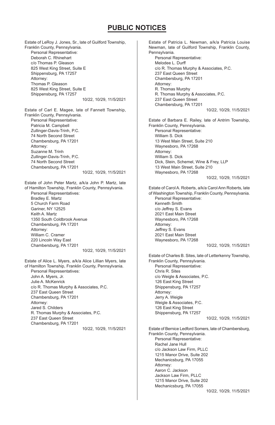Estate of LeRoy J. Jones, Sr., late of Guilford Township, Franklin County, Pennsylvania. Personal Representative: Deborah C. Rhinehart c/o Thomas P. Gleason 825 West King Street, Suite E Shippensburg, PA 17257 Attorney: Thomas P. Gleason 825 West King Street, Suite E Shippensburg, PA 17257 10/22, 10/29, 11/5/2021 Estate of Carl E. Magee, late of Fannett Township, Franklin County, Pennsylvania. Personal Representative: Patricia M. Campbell Zullinger-Davis-Trinh, P.C. 74 North Second Street Chambersburg, PA 17201 Attorney: Suzanne M. Trinh Zullinger-Davis-Trinh, P.C. 74 North Second Street Chambersburg, PA 17201 10/22, 10/29, 11/5/2021 Estate of John Peter Martz, a/k/a John P. Martz, late of Hamilton Township, Franklin County, Pennsylvania. Personal Representatives: Bradley E. Martz 5 Church Farm Road Gariner, NY 12525 Keith A. Martz 1350 South Coldbrook Avenue Chambersburg, PA 17201 Attorney: William C. Cramer 220 Lincoln Way East Chambersburg, PA 17201 10/22, 10/29, 11/5/2021 Estate of Alice L. Myers, a/k/a Alice Lillian Myers, late of Hamilton Township, Franklin County, Pennsylvania. Personal Representatives: John A. Myers, Jr. Julie A. McKenrick c/o R. Thomas Murphy & Associates, P.C. 237 East Queen Street Chambersburg, PA 17201 Attorney: Jared S. Childers R. Thomas Murphy & Associates, P.C. 237 East Queen Street Chambersburg, PA 17201 10/22, 10/29, 11/5/2021 Estate of Patricia L. Newman, a/k/a Patricia Louise Newman, late of Guilford Township, Franklin County, Pennsylvania. Personal Representative: Melodee L. Durff c/o R. Thomas Murphy & Associates, P.C. 237 East Queen Street Chambersburg, PA 17201 Attorney: R. Thomas Murphy R. Thomas Murphy & Associates, P.C. 237 East Queen Street Chambersburg, PA 17201 10/22, 10/29, 11/5/2021 Estate of Barbara E. Railey, late of Antrim Township, Franklin County, Pennsylvania. Personal Representative: William S. Dick 13 West Main Street, Suite 210 Waynesboro, PA 17268 Attorney: William S. Dick Dick, Stein, Schemel, Wine & Frey, LLP 13 West Main Street, Suite 210 Waynesboro, PA 17268 10/22, 10/29, 11/5/2021 Estate of Carol A. Roberts, a/k/a Carol Ann Roberts, late of Washington Township, Franklin County, Pennsylvania. Personal Representative: Kenneth Smith c/o Jeffrey S. Evans 2021 East Main Street Waynesboro, PA 17268 Attorney: Jeffrey S. Evans 2021 East Main Street Waynesboro, PA 17268 10/22, 10/29, 11/5/2021 Estate of Charles B. Sites, late of Letterkenny Township, Franklin County, Pennsylvania. Personal Representative: Chris R. Sites c/o Weigle & Associates, P.C. 126 East King Street Shippensburg, PA 17257 Attorney: Jerry A. Weigle Weigle & Associates, P.C. 126 East King Street Shippensburg, PA 17257 10/22, 10/29, 11/5/2021 Estate of Bernice Ledford Somers, late of Chambersburg, Franklin County, Pennsylvania. Personal Representative: Rachel Jane Hull c/o Jackson Law Firm, PLLC 1215 Manor Drive, Suite 202 Mechanicsburg, PA 17055 Attorney: Aaron C. Jackson Jackson Law Firm, PLLC 1215 Manor Drive, Suite 202 Mechanicsburg, PA 17055 10/22, 10/29, 11/5/2021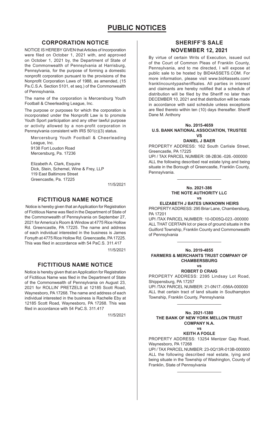# **CORPORATION NOTICE**

NOTICE IS HEREBY GIVEN that Articles of Incorporation were filed on October 1, 2021 with, and approved on October 1, 2021 by, the Department of State of the Commonwealth of Pennsylvania at Harrisburg, Pennsylvania, for the purpose of forming a domestic nonprofit corporation pursuant to the provisions of the Nonprofit Corporation Laws of 1988, as amended, (15 Pa.C.S.A. Section 5101, et seq.) of the Commonwealth of Pennsylvania.

The name of the corporation is Mercersburg Youth Football & Cheerleading League, Inc.

The purpose or purposes for which the corporation is incorporated under the Nonprofit Law is to promote Youth Sport participation and any other lawful purpose or activity allowed by a non-profit corporation in Pennsylvania consistent with IRS 501(c)(3) status.

Mercersburg Youth Football & Cheerleading League, Inc. 9138 Fort Loudon Road Mercersburg, Pa. 17236

Elizabeth A. Clark, Esquire Dick, Stein, Schemel, Wine & Frey, LLP 119 East Baltimore Street Greencastle, Pa. 17225

11/5/2021

## **FICTITIOUS NAME NOTICE**

 Notice is hereby given that an Application for Registration of Fictitious Name was filed in the Department of State of the Commonwealth of Pennsylvania on September 27, 2021 for America's Room & Window at 4775 Rice Hollow Rd. Greencastle, PA 17225. The name and address of each individual interested in the business is James Forsyth at 4775 Rice Hollow Rd. Greencastle, PA 17225. This was filed in accordance with 54 PaC.S. 311.417

11/5/2021

# **FICTITIOUS NAME NOTICE**

Notice is hereby given that an Application for Registration of Fictitious Name was filed in the Department of State of the Commonwealth of Pennsylvania on August 23, 2021 for ROLLIN' PRETZELS at 12185 Scott Road, Waynesboro, PA 17268. The name and address of each individual interested in the business is Rachelle Eby at 12185 Scott Road, Waynesboro, PA 17268. This was filed in accordance with 54 PaC.S. 311.417

11/5/2021

# **SHERIFF'S SALE NOVEMBER 12, 2021**

By virtue of certain Writs of Execution, issued out of the Court of Common Pleas of Franklin County, Pennsylvania, and to me directed, I will expose at public sale to be hosted by BID4ASSETS.COM. For more information, please visit www.bid4assets.com/ franklincountypasheriffsales. All parties in interest and claimants are hereby notified that a schedule of distribution will be filed by the Sheriff no later than DECEMBER 10, 2021 and that distribution will be made in accordance with said schedule unless exceptions are filed thereto within ten (10) days thereafter. Sheriff Dane M. Anthony

### **No. 2015-4659 U.S. BANK NATIONAL ASSOCIATION, TRUSTEE**  $V<sup>c</sup>$

### **DANIEL J BAER**

PROPERTY ADDRESS: 162 South Carlisle Street, Greencastle, PA 17225

UPI / TAX PARCEL NUMBER: 08-2B36.-026.-000000 ALL the following described real estate lying and being situate in the Borough of Greencastle, Franklin County, Pennsylvania.

 $\mathcal{L}_\text{max}$  and  $\mathcal{L}_\text{max}$  and  $\mathcal{L}_\text{max}$ 

# **No. 2021-386 THE NOTE AUTHORITY LLC**

# **vs ELIZABETH J BATES UNKNOWN HEIRS**

PROPERTY ADDRESS: 295 Briar Lane, Chambersburg, PA 17201

UPI /TAX PARCEL NUMBER: 10-0D05Q-023.-000000 ALL THAT CERTAIN lot or piece of ground situate in the Guilford Township, Franklin County and Commonwealth of Pennsylvania

### **No. 2019-4855 FARMERS & MERCHANTS TRUST COMPANY OF CHAMBERSBURG**

 $\mathcal{L}_\text{max}$  and  $\mathcal{L}_\text{max}$  and  $\mathcal{L}_\text{max}$ 

### **vs ROBERT D CRAIG**

PROPERTY ADDRESS: 2395 Lindsay Lot Road, Shippensburg, PA 17257

UPI /TAX PARCEL NUMBER: 21-0N17.-056A-000000 ALL that certain tract of land situate in Southampton Township, Franklin County, Pennsylvania  $\mathcal{L}_\text{max}$  and  $\mathcal{L}_\text{max}$  and  $\mathcal{L}_\text{max}$ 

### **No. 2021-1380 THE BANK OF NEW YORK MELLON TRUST COMPANY N.A.**

### **vs KEITH A FOGLE**

PROPERTY ADDRESS: 13254 Mentzer Gap Road, Waynesboro, PA 17268

UPI / TAX PARCEL NUMBER: 23-0Q13R-013B-000000 ALL the following described real estate, lying and being situate in the Township of Washington, County of Franklin, State of Pennsylvania

 $\mathcal{L}_\text{max}$  and  $\mathcal{L}_\text{max}$  and  $\mathcal{L}_\text{max}$